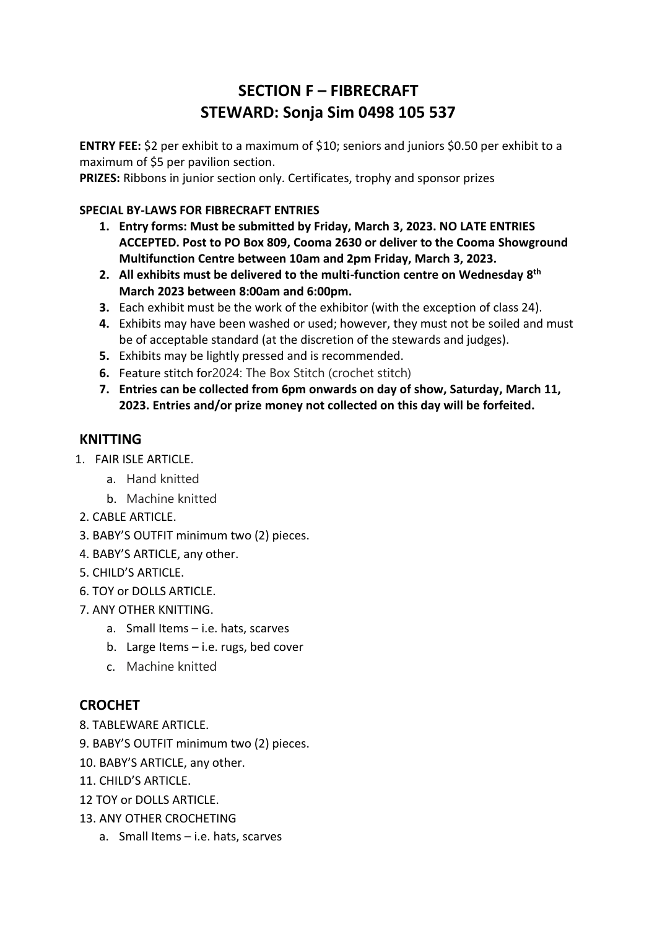# **SECTION F – FIBRECRAFT STEWARD: Sonja Sim 0498 105 537**

**ENTRY FEE:** \$2 per exhibit to a maximum of \$10; seniors and juniors \$0.50 per exhibit to a maximum of \$5 per pavilion section.

**PRIZES:** Ribbons in junior section only. Certificates, trophy and sponsor prizes

#### **SPECIAL BY-LAWS FOR FIBRECRAFT ENTRIES**

- **1. Entry forms: Must be submitted by Friday, March 3, 2023. NO LATE ENTRIES ACCEPTED. Post to PO Box 809, Cooma 2630 or deliver to the Cooma Showground Multifunction Centre between 10am and 2pm Friday, March 3, 2023.**
- **2. All exhibits must be delivered to the multi-function centre on Wednesday 8 th March 2023 between 8:00am and 6:00pm.**
- **3.** Each exhibit must be the work of the exhibitor (with the exception of class 24).
- **4.** Exhibits may have been washed or used; however, they must not be soiled and must be of acceptable standard (at the discretion of the stewards and judges).
- **5.** Exhibits may be lightly pressed and is recommended.
- **6.** Feature stitch for2024: The Box Stitch (crochet stitch)
- **7. Entries can be collected from 6pm onwards on day of show, Saturday, March 11, 2023. Entries and/or prize money not collected on this day will be forfeited.**

## **KNITTING**

- 1. FAIR ISLE ARTICLE.
	- a. Hand knitted
	- b. Machine knitted
- 2. CABLE ARTICLE.
- 3. BABY'S OUTFIT minimum two (2) pieces.
- 4. BABY'S ARTICLE, any other.
- 5. CHILD'S ARTICLE.
- 6. TOY or DOLLS ARTICLE.
- 7. ANY OTHER KNITTING.
	- a. Small Items i.e. hats, scarves
	- b. Large Items i.e. rugs, bed cover
	- c. Machine knitted

# **CROCHET**

- 8. TABLEWARE ARTICLE.
- 9. BABY'S OUTFIT minimum two (2) pieces.
- 10. BABY'S ARTICLE, any other.
- 11 CHILD'S ARTICLE
- 12 TOY or DOLLS ARTICLE.
- 13. ANY OTHER CROCHETING
	- a. Small Items i.e. hats, scarves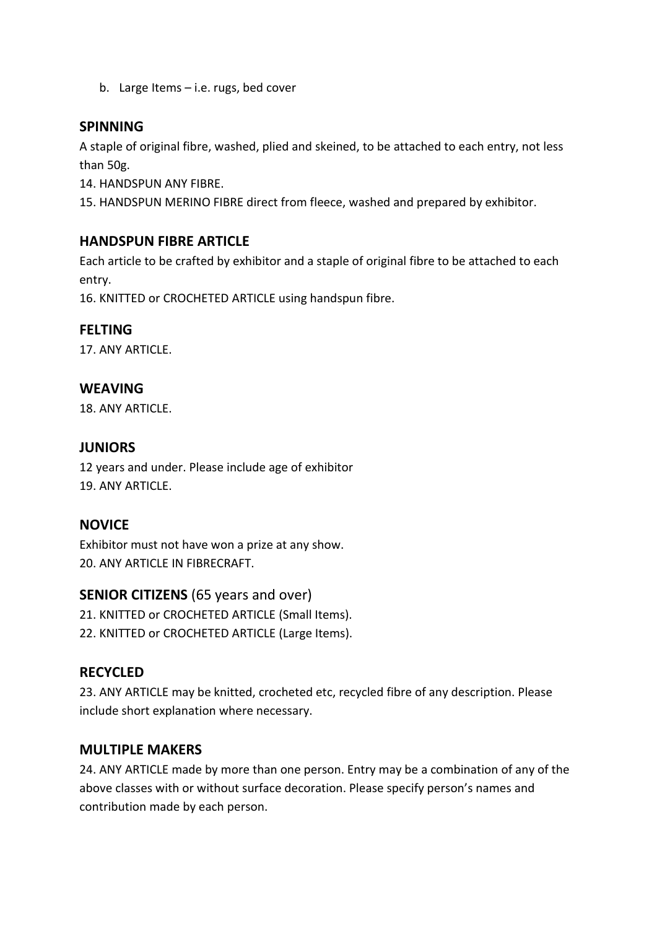b. Large Items – i.e. rugs, bed cover

#### **SPINNING**

A staple of original fibre, washed, plied and skeined, to be attached to each entry, not less than 50g.

14. HANDSPUN ANY FIBRE.

15. HANDSPUN MERINO FIBRE direct from fleece, washed and prepared by exhibitor.

## **HANDSPUN FIBRE ARTICLE**

Each article to be crafted by exhibitor and a staple of original fibre to be attached to each entry.

16. KNITTED or CROCHETED ARTICLE using handspun fibre.

#### **FELTING**

17. ANY ARTICLE.

## **WEAVING**

18. ANY ARTICLE.

#### **JUNIORS**

12 years and under. Please include age of exhibitor 19. ANY ARTICLE.

#### **NOVICE**

Exhibitor must not have won a prize at any show. 20. ANY ARTICLE IN FIBRECRAFT

#### **SENIOR CITIZENS** (65 years and over)

21. KNITTED or CROCHETED ARTICLE (Small Items).

22. KNITTED or CROCHETED ARTICLE (Large Items).

# **RECYCLED**

23. ANY ARTICLE may be knitted, crocheted etc, recycled fibre of any description. Please include short explanation where necessary.

# **MULTIPLE MAKERS**

24. ANY ARTICLE made by more than one person. Entry may be a combination of any of the above classes with or without surface decoration. Please specify person's names and contribution made by each person.